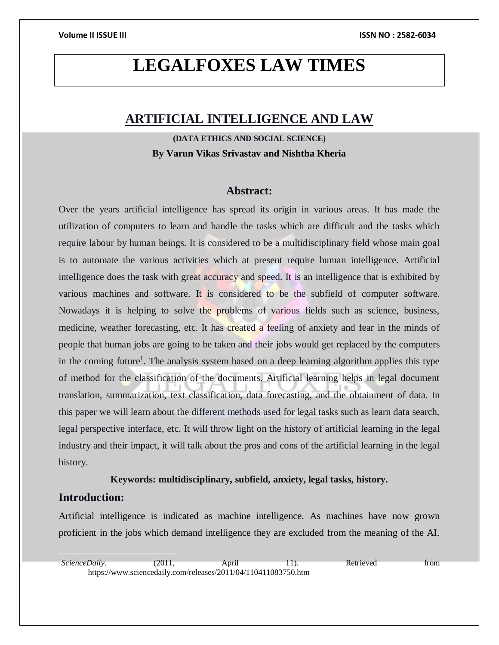# **LEGALFOXES LAW TIMES**

# **ARTIFICIAL INTELLIGENCE AND LAW**

**(DATA ETHICS AND SOCIAL SCIENCE) By Varun Vikas Srivastav and Nishtha Kheria**

### **Abstract:**

Over the years artificial intelligence has spread its origin in various areas. It has made the utilization of computers to learn and handle the tasks which are difficult and the tasks which require labour by human beings. It is considered to be a multidisciplinary field whose main goal is to automate the various activities which at present require human intelligence. Artificial intelligence does the task with great accuracy and speed. It is an intelligence that is exhibited by various machines and software. It is considered to be the subfield of computer software. Nowadays it is helping to solve the problems of various fields such as science, business, medicine, weather forecasting, etc. It has created a feeling of anxiety and fear in the minds of people that human jobs are going to be taken and their jobs would get replaced by the computers in the coming future<sup>1</sup>. The analysis system based on a deep learning algorithm applies this type of method for the classification of the documents. Artificial learning helps in legal document translation, summarization, text classification, data forecasting, and the obtainment of data. In this paper we will learn about the different methods used for legal tasks such as learn data search, legal perspective interface, etc. It will throw light on the history of artificial learning in the legal industry and their impact, it will talk about the pros and cons of the artificial learning in the legal history.

#### **Keywords: multidisciplinary, subfield, anxiety, legal tasks, history.**

#### **Introduction:**

Artificial intelligence is indicated as machine intelligence. As machines have now grown proficient in the jobs which demand intelligence they are excluded from the meaning of the AI.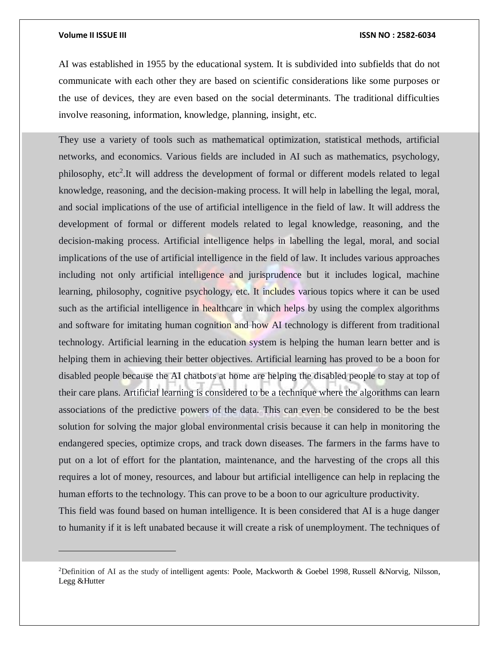#### **Volume II ISSUE III ISSN NO : 2582-6034**

AI was established in 1955 by the educational system. It is subdivided into subfields that do not communicate with each other they are based on scientific considerations like some purposes or the use of devices, they are even based on the social determinants. The traditional difficulties involve reasoning, information, knowledge, planning, insight, etc.

They use a variety of tools such as mathematical optimization, statistical methods, artificial networks, and economics. Various fields are included in AI such as mathematics, psychology, philosophy, etc<sup>2</sup>. It will address the development of formal or different models related to legal knowledge, reasoning, and the decision-making process. It will help in labelling the legal, moral, and social implications of the use of artificial intelligence in the field of law. It will address the development of formal or different models related to legal knowledge, reasoning, and the decision-making process. Artificial intelligence helps in labelling the legal, moral, and social implications of the use of artificial intelligence in the field of law. It includes various approaches including not only artificial intelligence and jurisprudence but it includes logical, machine learning, philosophy, cognitive psychology, etc. It includes various topics where it can be used such as the artificial intelligence in healthcare in which helps by using the complex algorithms and software for imitating human cognition and how AI technology is different from traditional technology. Artificial learning in the education system is helping the human learn better and is helping them in achieving their better objectives. Artificial learning has proved to be a boon for disabled people because the AI chatbots at home are helping the disabled people to stay at top of their care plans. Artificial learning is considered to be a technique where the algorithms can learn associations of the predictive powers of the data. This can even be considered to be the best solution for solving the major global environmental crisis because it can help in monitoring the endangered species, optimize crops, and track down diseases. The farmers in the farms have to put on a lot of effort for the plantation, maintenance, and the harvesting of the crops all this requires a lot of money, resources, and labour but artificial intelligence can help in replacing the human efforts to the technology. This can prove to be a boon to our agriculture productivity. This field was found based on human intelligence. It is been considered that AI is a huge danger

to humanity if it is left unabated because it will create a risk of unemployment. The techniques of

<sup>&</sup>lt;sup>2</sup>Definition of AI as the study of intelligent agents: Poole, Mackworth & Goebel 1998, Russell &Norvig, Nilsson, Legg &Hutter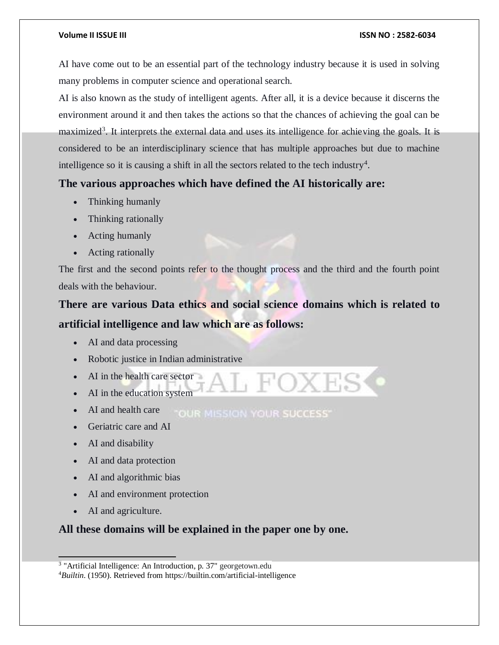AI have come out to be an essential part of the technology industry because it is used in solving many problems in computer science and operational search.

AI is also known as the study of intelligent agents. After all, it is a device because it discerns the environment around it and then takes the actions so that the chances of achieving the goal can be maximized<sup>3</sup>. It interprets the external data and uses its intelligence for achieving the goals. It is considered to be an interdisciplinary science that has multiple approaches but due to machine intelligence so it is causing a shift in all the sectors related to the tech industry<sup>4</sup>.

## **The various approaches which have defined the AI historically are:**

- Thinking humanly
- Thinking rationally
- Acting humanly
- Acting rationally

The first and the second points refer to the thought process and the third and the fourth point deals with the behaviour.

# **There are various Data ethics and social science domains which is related to artificial intelligence and law which are as follows:**

- AI and data processing
- Robotic justice in Indian administrative
- AI in the health care sector
- AI in the education system
- AI and health care **"OUR MISSION YOUR SUCCESS"**
- Geriatric care and AI
- AI and disability
- AI and data protection
- AI and algorithmic bias
- AI and environment protection
- AI and agriculture.

 $\overline{a}$ 

## **All these domains will be explained in the paper one by one.**

<sup>&</sup>lt;sup>3</sup> "Artificial Intelligence: An Introduction, p. 37" georgetown.edu

<sup>4</sup>*Builtin*. (1950). Retrieved from https://builtin.com/artificial-intelligence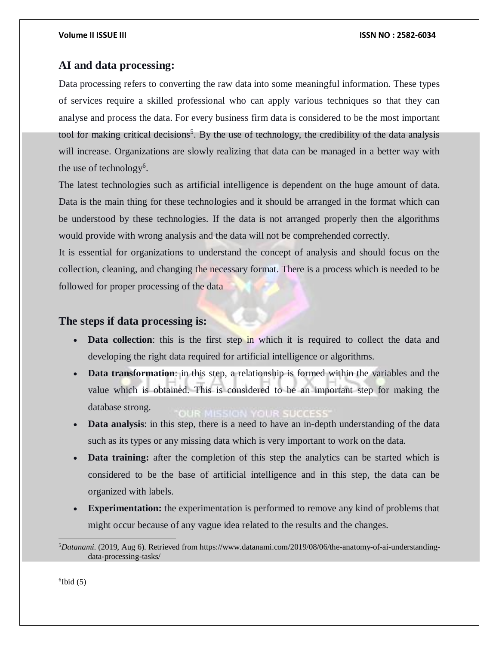### **AI and data processing:**

Data processing refers to converting the raw data into some meaningful information. These types of services require a skilled professional who can apply various techniques so that they can analyse and process the data. For every business firm data is considered to be the most important tool for making critical decisions<sup>5</sup>. By the use of technology, the credibility of the data analysis will increase. Organizations are slowly realizing that data can be managed in a better way with the use of technology<sup>6</sup>.

The latest technologies such as artificial intelligence is dependent on the huge amount of data. Data is the main thing for these technologies and it should be arranged in the format which can be understood by these technologies. If the data is not arranged properly then the algorithms would provide with wrong analysis and the data will not be comprehended correctly.

It is essential for organizations to understand the concept of analysis and should focus on the collection, cleaning, and changing the necessary format. There is a process which is needed to be followed for proper processing of the data

### **The steps if data processing is:**

- **Data collection**: this is the first step in which it is required to collect the data and developing the right data required for artificial intelligence or algorithms.
- **Data transformation**: in this step, a relationship is formed within the variables and the value which is obtained. This is considered to be an important step for making the database strong.
- **Data analysis**: in this step, there is a need to have an in-depth understanding of the data such as its types or any missing data which is very important to work on the data.
- **Data training:** after the completion of this step the analytics can be started which is considered to be the base of artificial intelligence and in this step, the data can be organized with labels.
- **Experimentation:** the experimentation is performed to remove any kind of problems that might occur because of any vague idea related to the results and the changes.

 $6$ Ibid  $(5)$ 

 5*Datanami*. (2019, Aug 6). Retrieved from https://www.datanami.com/2019/08/06/the-anatomy-of-ai-understandingdata-processing-tasks/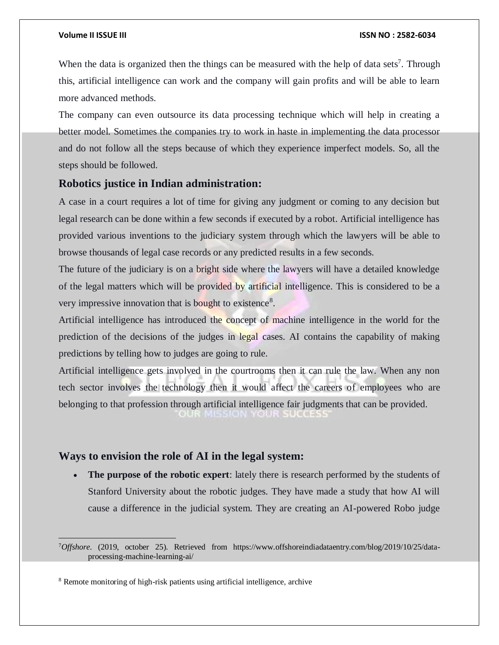When the data is organized then the things can be measured with the help of data sets<sup>7</sup>. Through this, artificial intelligence can work and the company will gain profits and will be able to learn more advanced methods.

The company can even outsource its data processing technique which will help in creating a better model. Sometimes the companies try to work in haste in implementing the data processor and do not follow all the steps because of which they experience imperfect models. So, all the steps should be followed.

### **Robotics justice in Indian administration:**

A case in a court requires a lot of time for giving any judgment or coming to any decision but legal research can be done within a few seconds if executed by a robot. Artificial intelligence has provided various inventions to the judiciary system through which the lawyers will be able to browse thousands of legal case records or any predicted results in a few seconds.

The future of the judiciary is on a bright side where the lawyers will have a detailed knowledge of the legal matters which will be provided by artificial intelligence. This is considered to be a very impressive innovation that is bought to existence<sup>8</sup>.

Artificial intelligence has introduced the concept of machine intelligence in the world for the prediction of the decisions of the judges in legal cases. AI contains the capability of making predictions by telling how to judges are going to rule.

Artificial intelligence gets involved in the courtrooms then it can rule the law. When any non tech sector involves the technology then it would affect the careers of employees who are belonging to that profession through artificial intelligence fair judgments that can be provided.

### **Ways to envision the role of AI in the legal system:**

 **The purpose of the robotic expert**: lately there is research performed by the students of Stanford University about the robotic judges. They have made a study that how AI will cause a difference in the judicial system. They are creating an AI-powered Robo judge

<sup>7</sup>*Offshore*. (2019, october 25). Retrieved from https://www.offshoreindiadataentry.com/blog/2019/10/25/dataprocessing-machine-learning-ai/

<sup>8</sup> Remote monitoring of high-risk patients using artificial intelligence, archive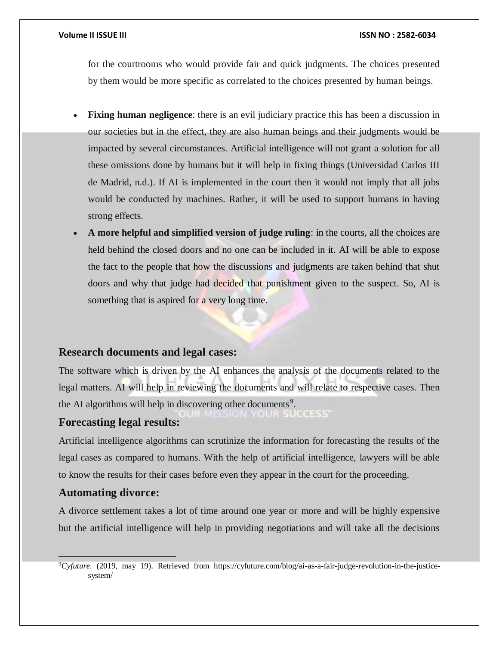for the courtrooms who would provide fair and quick judgments. The choices presented by them would be more specific as correlated to the choices presented by human beings.

- **Fixing human negligence**: there is an evil judiciary practice this has been a discussion in our societies but in the effect, they are also human beings and their judgments would be impacted by several circumstances. Artificial intelligence will not grant a solution for all these omissions done by humans but it will help in fixing things (Universidad Carlos III de Madrid, n.d.). If AI is implemented in the court then it would not imply that all jobs would be conducted by machines. Rather, it will be used to support humans in having strong effects.
- **A more helpful and simplified version of judge ruling**: in the courts, all the choices are held behind the closed doors and no one can be included in it. AI will be able to expose the fact to the people that how the discussions and judgments are taken behind that shut doors and why that judge had decided that punishment given to the suspect. So, AI is something that is aspired for a very long time.

### **Research documents and legal cases:**

The software which is driven by the AI enhances the analysis of the documents related to the legal matters. AI will help in reviewing the documents and will relate to respective cases. Then the AI algorithms will help in discovering other documents<sup>9</sup>.  $0.01355$ 

#### **Forecasting legal results:**

Artificial intelligence algorithms can scrutinize the information for forecasting the results of the legal cases as compared to humans. With the help of artificial intelligence, lawyers will be able to know the results for their cases before even they appear in the court for the proceeding.

### **Automating divorce:**

 $\overline{a}$ 

A divorce settlement takes a lot of time around one year or more and will be highly expensive but the artificial intelligence will help in providing negotiations and will take all the decisions

<sup>9</sup>*Cyfuture*. (2019, may 19). Retrieved from https://cyfuture.com/blog/ai-as-a-fair-judge-revolution-in-the-justicesystem/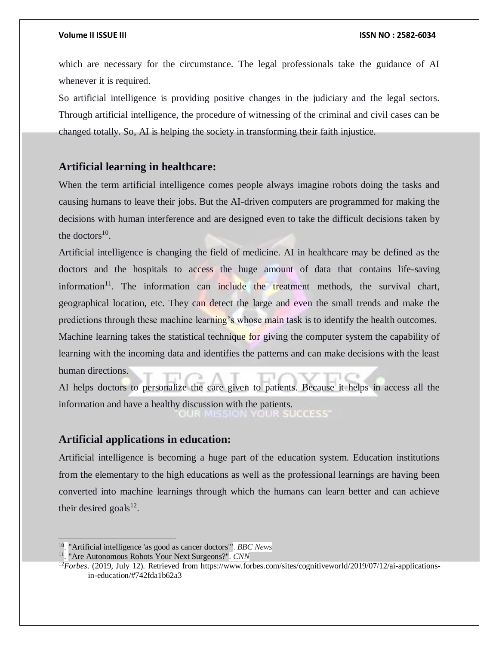which are necessary for the circumstance. The legal professionals take the guidance of AI whenever it is required.

So artificial intelligence is providing positive changes in the judiciary and the legal sectors. Through artificial intelligence, the procedure of witnessing of the criminal and civil cases can be changed totally. So, AI is helping the society in transforming their faith injustice.

## **Artificial learning in healthcare:**

When the term artificial intelligence comes people always imagine robots doing the tasks and causing humans to leave their jobs. But the AI-driven computers are programmed for making the decisions with human interference and are designed even to take the difficult decisions taken by the doctors $^{10}$ .

Artificial intelligence is changing the field of medicine. AI in healthcare may be defined as the doctors and the hospitals to access the huge amount of data that contains life-saving information<sup>11</sup>. The information can include the treatment methods, the survival chart, geographical location, etc. They can detect the large and even the small trends and make the predictions through these machine learning's whose main task is to identify the health outcomes.

Machine learning takes the statistical technique for giving the computer system the capability of learning with the incoming data and identifies the patterns and can make decisions with the least human directions.

AI helps doctors to personalize the care given to patients. Because it helps in access all the information and have a healthy discussion with the patients.

### **Artificial applications in education:**

Artificial intelligence is becoming a huge part of the education system. Education institutions from the elementary to the high educations as well as the professional learnings are having been converted into machine learnings through which the humans can learn better and can achieve their desired goals $^{12}$ .

<sup>10</sup> . "Artificial intelligence 'as good as cancer doctors'". *BBC News*

<sup>11</sup> . "Are Autonomous Robots Your Next Surgeons?". *CNN*

<sup>12</sup>*Forbes*. (2019, July 12). Retrieved from https://www.forbes.com/sites/cognitiveworld/2019/07/12/ai-applicationsin-education/#742fda1b62a3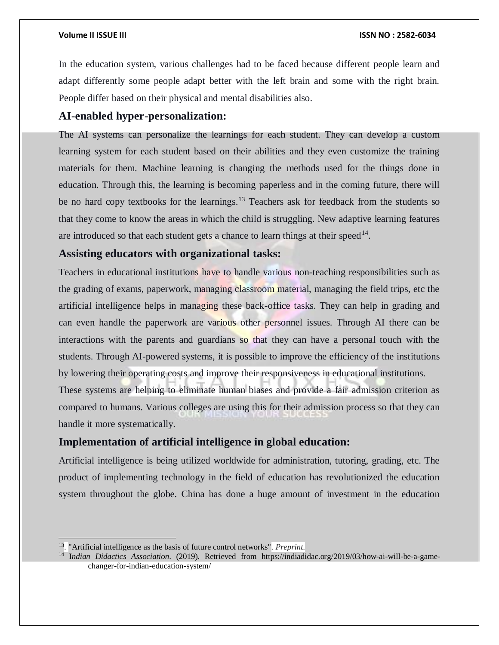In the education system, various challenges had to be faced because different people learn and adapt differently some people adapt better with the left brain and some with the right brain. People differ based on their physical and mental disabilities also.

## **AI-enabled hyper-personalization:**

The AI systems can personalize the learnings for each student. They can develop a custom learning system for each student based on their abilities and they even customize the training materials for them. Machine learning is changing the methods used for the things done in education. Through this, the learning is becoming paperless and in the coming future, there will be no hard copy textbooks for the learnings.<sup>13</sup> Teachers ask for feedback from the students so that they come to know the areas in which the child is struggling. New adaptive learning features are introduced so that each student gets a chance to learn things at their speed $<sup>14</sup>$ .</sup>

### **Assisting educators with organizational tasks:**

Teachers in educational institutions have to handle various non-teaching responsibilities such as the grading of exams, paperwork, managing classroom material, managing the field trips, etc the artificial intelligence helps in managing these back-office tasks. They can help in grading and can even handle the paperwork are various other personnel issues. Through AI there can be interactions with the parents and guardians so that they can have a personal touch with the students. Through AI-powered systems, it is possible to improve the efficiency of the institutions by lowering their operating costs and improve their responsiveness in educational institutions.

These systems are helping to eliminate human biases and provide a fair admission criterion as compared to humans. Various colleges are using this for their admission process so that they can handle it more systematically.

## **Implementation of artificial intelligence in global education:**

Artificial intelligence is being utilized worldwide for administration, tutoring, grading, etc. The product of implementing technology in the field of education has revolutionized the education system throughout the globe. China has done a huge amount of investment in the education

<sup>13</sup> . "Artificial intelligence as the basis of future control networks". *Preprint*.

<sup>&</sup>lt;sup>14</sup> Indian Didactics Association. (2019). Retrieved from https://indiadidac.org/2019/03/how-ai-will-be-a-gamechanger-for-indian-education-system/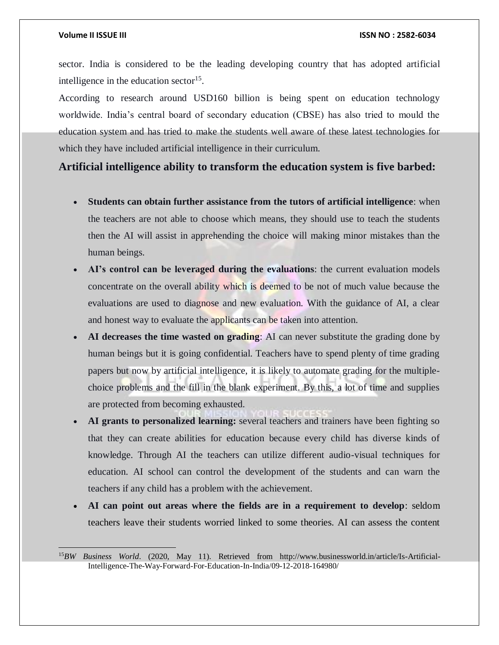$\overline{a}$ 

sector. India is considered to be the leading developing country that has adopted artificial intelligence in the education sector $15$ .

According to research around USD160 billion is being spent on education technology worldwide. India's central board of secondary education (CBSE) has also tried to mould the education system and has tried to make the students well aware of these latest technologies for which they have included artificial intelligence in their curriculum.

### **Artificial intelligence ability to transform the education system is five barbed:**

- **Students can obtain further assistance from the tutors of artificial intelligence**: when the teachers are not able to choose which means, they should use to teach the students then the AI will assist in apprehending the choice will making minor mistakes than the human beings.
- **AI's control can be leveraged during the evaluations**: the current evaluation models concentrate on the overall ability which is deemed to be not of much value because the evaluations are used to diagnose and new evaluation. With the guidance of AI, a clear and honest way to evaluate the applicants can be taken into attention.
- **AI decreases the time wasted on grading**: AI can never substitute the grading done by human beings but it is going confidential. Teachers have to spend plenty of time grading papers but now by artificial intelligence, it is likely to automate grading for the multiplechoice problems and the fill in the blank experiment. By this, a lot of time and supplies are protected from becoming exhausted.
- **AI grants to personalized learning:** several teachers and trainers have been fighting so that they can create abilities for education because every child has diverse kinds of knowledge. Through AI the teachers can utilize different audio-visual techniques for education. AI school can control the development of the students and can warn the teachers if any child has a problem with the achievement.
- **AI can point out areas where the fields are in a requirement to develop**: seldom teachers leave their students worried linked to some theories. AI can assess the content

<sup>15</sup>*BW Business World*. (2020, May 11). Retrieved from http://www.businessworld.in/article/Is-Artificial-Intelligence-The-Way-Forward-For-Education-In-India/09-12-2018-164980/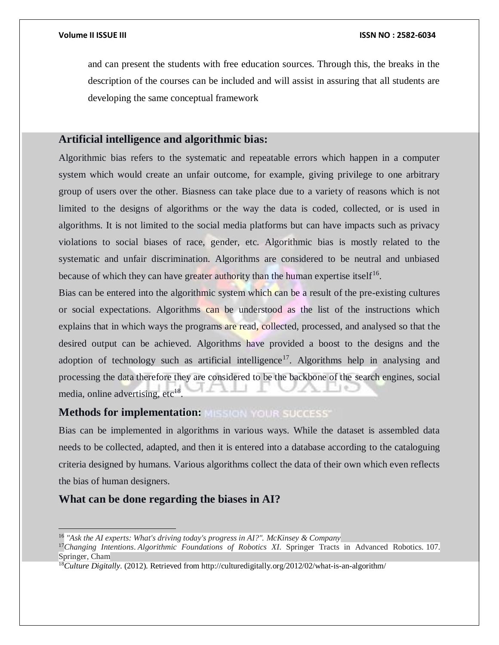and can present the students with free education sources. Through this, the breaks in the description of the courses can be included and will assist in assuring that all students are developing the same conceptual framework

### **Artificial intelligence and algorithmic bias:**

Algorithmic bias refers to the systematic and repeatable errors which happen in a computer system which would create an unfair outcome, for example, giving privilege to one arbitrary group of users over the other. Biasness can take place due to a variety of reasons which is not limited to the designs of algorithms or the way the data is coded, collected, or is used in algorithms. It is not limited to the social media platforms but can have impacts such as privacy violations to social biases of race, gender, etc. Algorithmic bias is mostly related to the systematic and unfair discrimination. Algorithms are considered to be neutral and unbiased because of which they can have greater authority than the human expertise itself<sup>16</sup>.

Bias can be entered into the algorithmic system which can be a result of the pre-existing cultures or social expectations. Algorithms can be understood as the list of the instructions which explains that in which ways the programs are read, collected, processed, and analysed so that the desired output can be achieved. Algorithms have provided a boost to the designs and the adoption of technology such as artificial intelligence<sup>17</sup>. Algorithms help in analysing and processing the data therefore they are considered to be the backbone of the search engines, social media, online advertising, etc<sup>18</sup>.

### **Methods for implementation:**

Bias can be implemented in algorithms in various ways. While the dataset is assembled data needs to be collected, adapted, and then it is entered into a database according to the cataloguing criteria designed by humans. Various algorithms collect the data of their own which even reflects the bias of human designers.

## **What can be done regarding the biases in AI?**

 $\overline{a}$ 

<sup>16</sup> *"Ask the AI experts: What's driving today's progress in AI?". McKinsey & Company*

<sup>17</sup>*Changing Intentions*. *Algorithmic Foundations of Robotics XI*. Springer Tracts in Advanced Robotics. 107. Springer, Cham

<sup>18</sup>*Culture Digitally*. (2012). Retrieved from http://culturedigitally.org/2012/02/what-is-an-algorithm/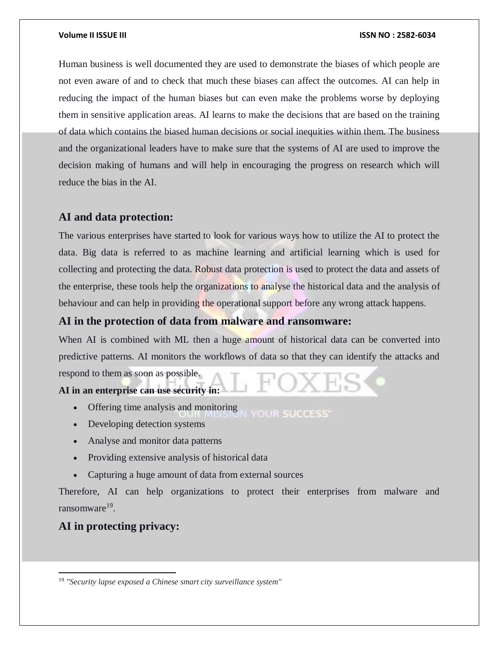Human business is well documented they are used to demonstrate the biases of which people are not even aware of and to check that much these biases can affect the outcomes. AI can help in reducing the impact of the human biases but can even make the problems worse by deploying them in sensitive application areas. AI learns to make the decisions that are based on the training of data which contains the biased human decisions or social inequities within them. The business and the organizational leaders have to make sure that the systems of AI are used to improve the decision making of humans and will help in encouraging the progress on research which will reduce the bias in the AI.

### **AI and data protection:**

The various enterprises have started to look for various ways how to utilize the AI to protect the data. Big data is referred to as machine learning and artificial learning which is used for collecting and protecting the data. Robust data protection is used to protect the data and assets of the enterprise, these tools help the organizations to analyse the historical data and the analysis of behaviour and can help in providing the operational support before any wrong attack happens.

### **AI in the protection of data from malware and ransomware:**

When AI is combined with ML then a huge amount of historical data can be converted into predictive patterns. AI monitors the workflows of data so that they can identify the attacks and respond to them as soon as possible.

#### **AI in an enterprise can use security in:**

- Offering time analysis and monitoring **YOUR SUCCESS**
- Developing detection systems
- Analyse and monitor data patterns
- Providing extensive analysis of historical data
- Capturing a huge amount of data from external sources

Therefore, AI can help organizations to protect their enterprises from malware and ransomware<sup>19</sup>.

## **AI in protecting privacy:**

 $\overline{a}$ 

<sup>19</sup> *"Security lapse exposed a Chinese smart city surveillance system"*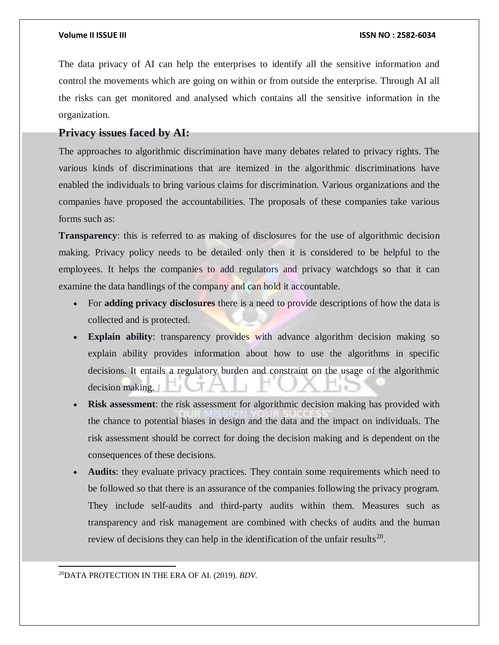The data privacy of AI can help the enterprises to identify all the sensitive information and control the movements which are going on within or from outside the enterprise. Through AI all the risks can get monitored and analysed which contains all the sensitive information in the organization.

### **Privacy issues faced by AI:**

The approaches to algorithmic discrimination have many debates related to privacy rights. The various kinds of discriminations that are itemized in the algorithmic discriminations have enabled the individuals to bring various claims for discrimination. Various organizations and the companies have proposed the accountabilities. The proposals of these companies take various forms such as:

**Transparency**: this is referred to as making of disclosures for the use of algorithmic decision making. Privacy policy needs to be detailed only then it is considered to be helpful to the employees. It helps the companies to add regulators and privacy watchdogs so that it can examine the data handlings of the company and can hold it accountable.

- For **adding privacy disclosures** there is a need to provide descriptions of how the data is collected and is protected.
- **Explain ability**: transparency provides with advance algorithm decision making so explain ability provides information about how to use the algorithms in specific decisions. It entails a regulatory burden and constraint on the usage of the algorithmic decision making.
- **Risk assessment**: the risk assessment for algorithmic decision making has provided with the chance to potential biases in design and the data and the impact on individuals. The risk assessment should be correct for doing the decision making and is dependent on the consequences of these decisions.
- **Audits**: they evaluate privacy practices. They contain some requirements which need to be followed so that there is an assurance of the companies following the privacy program. They include self-audits and third-party audits within them. Measures such as transparency and risk management are combined with checks of audits and the human review of decisions they can help in the identification of the unfair results<sup>20</sup>.

20DATA PROTECTION IN THE ERA OF AI. (2019). *BDV*.

 $\overline{a}$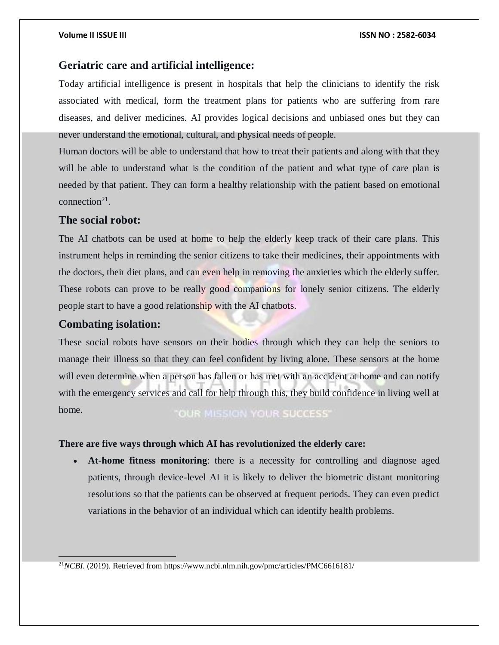### **Geriatric care and artificial intelligence:**

Today artificial intelligence is present in hospitals that help the clinicians to identify the risk associated with medical, form the treatment plans for patients who are suffering from rare diseases, and deliver medicines. AI provides logical decisions and unbiased ones but they can never understand the emotional, cultural, and physical needs of people.

Human doctors will be able to understand that how to treat their patients and along with that they will be able to understand what is the condition of the patient and what type of care plan is needed by that patient. They can form a healthy relationship with the patient based on emotional connection<sup>21</sup>.

### **The social robot:**

The AI chatbots can be used at home to help the elderly keep track of their care plans. This instrument helps in reminding the senior citizens to take their medicines, their appointments with the doctors, their diet plans, and can even help in removing the anxieties which the elderly suffer. These robots can prove to be really good companions for lonely senior citizens. The elderly people start to have a good relationship with the AI chatbots.

#### **Combating isolation:**

 $\overline{a}$ 

These social robots have sensors on their bodies through which they can help the seniors to manage their illness so that they can feel confident by living alone. These sensors at the home will even determine when a person has fallen or has met with an accident at home and can notify with the emergency services and call for help through this, they build confidence in living well at home. **"OUR MISSION YOUR SUCCESS"** 

#### **There are five ways through which AI has revolutionized the elderly care:**

 **At-home fitness monitoring**: there is a necessity for controlling and diagnose aged patients, through device-level AI it is likely to deliver the biometric distant monitoring resolutions so that the patients can be observed at frequent periods. They can even predict variations in the behavior of an individual which can identify health problems.

21*NCBI*. (2019). Retrieved from https://www.ncbi.nlm.nih.gov/pmc/articles/PMC6616181/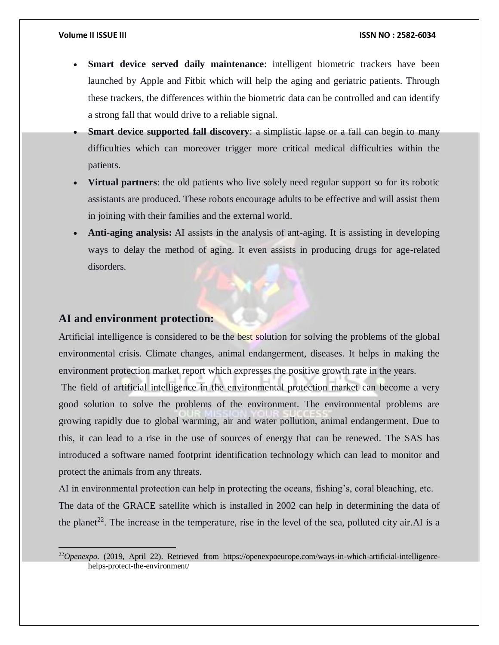- **Smart device served daily maintenance**: intelligent biometric trackers have been launched by Apple and Fitbit which will help the aging and geriatric patients. Through these trackers, the differences within the biometric data can be controlled and can identify a strong fall that would drive to a reliable signal.
- **Smart device supported fall discovery**: a simplistic lapse or a fall can begin to many difficulties which can moreover trigger more critical medical difficulties within the patients.
- **Virtual partners**: the old patients who live solely need regular support so for its robotic assistants are produced. These robots encourage adults to be effective and will assist them in joining with their families and the external world.
- **Anti-aging analysis:** AI assists in the analysis of ant-aging. It is assisting in developing ways to delay the method of aging. It even assists in producing drugs for age-related disorders.

### **AI and environment protection:**

 $\overline{a}$ 

Artificial intelligence is considered to be the best solution for solving the problems of the global environmental crisis. Climate changes, animal endangerment, diseases. It helps in making the environment protection market report which expresses the positive growth rate in the years.

The field of artificial intelligence in the environmental protection market can become a very good solution to solve the problems of the environment. The environmental problems are growing rapidly due to global warming, air and water pollution, animal endangerment. Due to this, it can lead to a rise in the use of sources of energy that can be renewed. The SAS has introduced a software named footprint identification technology which can lead to monitor and protect the animals from any threats.

AI in environmental protection can help in protecting the oceans, fishing's, coral bleaching, etc. The data of the GRACE satellite which is installed in 2002 can help in determining the data of the planet<sup>22</sup>. The increase in the temperature, rise in the level of the sea, polluted city air. AI is a

<sup>&</sup>lt;sup>22</sup>Openexpo. (2019, April 22). Retrieved from https://openexpoeurope.com/ways-in-which-artificial-intelligencehelps-protect-the-environment/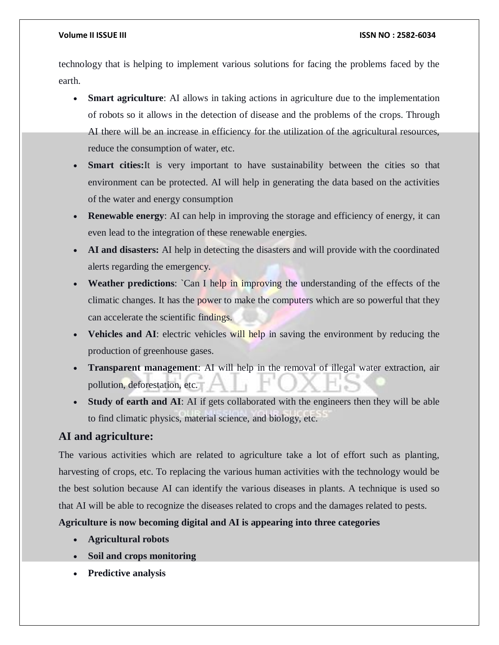technology that is helping to implement various solutions for facing the problems faced by the earth.

- **Smart agriculture**: AI allows in taking actions in agriculture due to the implementation of robots so it allows in the detection of disease and the problems of the crops. Through AI there will be an increase in efficiency for the utilization of the agricultural resources, reduce the consumption of water, etc.
- **Smart cities:** It is very important to have sustainability between the cities so that environment can be protected. AI will help in generating the data based on the activities of the water and energy consumption
- **Renewable energy:** AI can help in improving the storage and efficiency of energy, it can even lead to the integration of these renewable energies.
- **AI and disasters:** AI help in detecting the disasters and will provide with the coordinated alerts regarding the emergency.
- **Weather predictions**: `Can I help in improving the understanding of the effects of the climatic changes. It has the power to make the computers which are so powerful that they can accelerate the scientific findings.
- **Vehicles and AI**: electric vehicles will help in saving the environment by reducing the production of greenhouse gases.
- **Transparent management**: AI will help in the removal of illegal water extraction, air pollution, deforestation, etc.
- **Study of earth and AI**: AI if gets collaborated with the engineers then they will be able to find climatic physics, material science, and biology, etc.

### **AI and agriculture:**

The various activities which are related to agriculture take a lot of effort such as planting, harvesting of crops, etc. To replacing the various human activities with the technology would be the best solution because AI can identify the various diseases in plants. A technique is used so that AI will be able to recognize the diseases related to crops and the damages related to pests.

**Agriculture is now becoming digital and AI is appearing into three categories**

- **Agricultural robots**
- **Soil and crops monitoring**
- **Predictive analysis**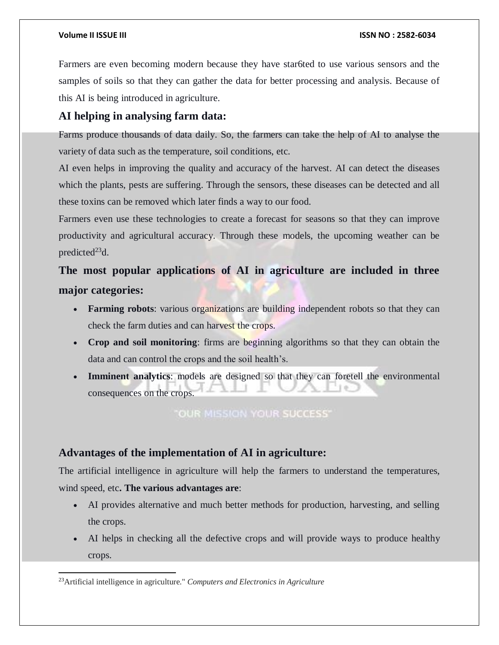Farmers are even becoming modern because they have star6ted to use various sensors and the samples of soils so that they can gather the data for better processing and analysis. Because of this AI is being introduced in agriculture.

## **AI helping in analysing farm data:**

Farms produce thousands of data daily. So, the farmers can take the help of AI to analyse the variety of data such as the temperature, soil conditions, etc.

AI even helps in improving the quality and accuracy of the harvest. AI can detect the diseases which the plants, pests are suffering. Through the sensors, these diseases can be detected and all these toxins can be removed which later finds a way to our food.

Farmers even use these technologies to create a forecast for seasons so that they can improve productivity and agricultural accuracy. Through these models, the upcoming weather can be predicted $^{23}$ d.

# **The most popular applications of AI in agriculture are included in three major categories:**

- Farming robots: various organizations are building independent robots so that they can check the farm duties and can harvest the crops.
- **Crop and soil monitoring**: firms are beginning algorithms so that they can obtain the data and can control the crops and the soil health's.
- **Imminent analytics**: models are designed so that they can foretell the environmental consequences on the crops.

**"OUR MISSION YOUR SUCCESS"** 

## **Advantages of the implementation of AI in agriculture:**

The artificial intelligence in agriculture will help the farmers to understand the temperatures, wind speed, etc**. The various advantages are**:

- AI provides alternative and much better methods for production, harvesting, and selling the crops.
- AI helps in checking all the defective crops and will provide ways to produce healthy crops.

 $\overline{a}$ <sup>23</sup>Artificial intelligence in agriculture." *Computers and Electronics in Agriculture*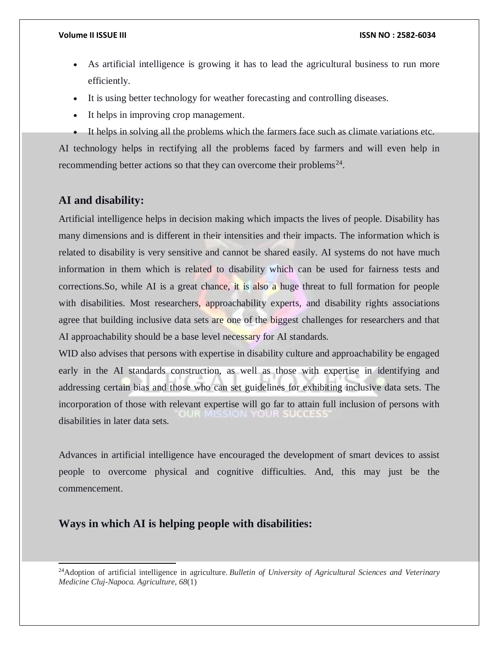- As artificial intelligence is growing it has to lead the agricultural business to run more efficiently.
- It is using better technology for weather forecasting and controlling diseases.
- It helps in improving crop management.
- It helps in solving all the problems which the farmers face such as climate variations etc.

AI technology helps in rectifying all the problems faced by farmers and will even help in recommending better actions so that they can overcome their problems<sup>24</sup>.

## **AI and disability:**

l

Artificial intelligence helps in decision making which impacts the lives of people. Disability has many dimensions and is different in their intensities and their impacts. The information which is related to disability is very sensitive and cannot be shared easily. AI systems do not have much information in them which is related to disability which can be used for fairness tests and corrections.So, while AI is a great chance, it is also a huge threat to full formation for people with disabilities. Most researchers, approachability experts, and disability rights associations agree that building inclusive data sets are one of the biggest challenges for researchers and that AI approachability should be a base level necessary for AI standards.

WID also advises that persons with expertise in disability culture and approachability be engaged early in the AI standards construction, as well as those with expertise in identifying and addressing certain bias and those who can set guidelines for exhibiting inclusive data sets. The incorporation of those with relevant expertise will go far to attain full inclusion of persons with disabilities in later data sets.

Advances in artificial intelligence have encouraged the development of smart devices to assist people to overcome physical and cognitive difficulties. And, this may just be the commencement.

## **Ways in which AI is helping people with disabilities:**

<sup>24</sup>Adoption of artificial intelligence in agriculture. *Bulletin of University of Agricultural Sciences and Veterinary Medicine Cluj-Napoca. Agriculture*, *68*(1)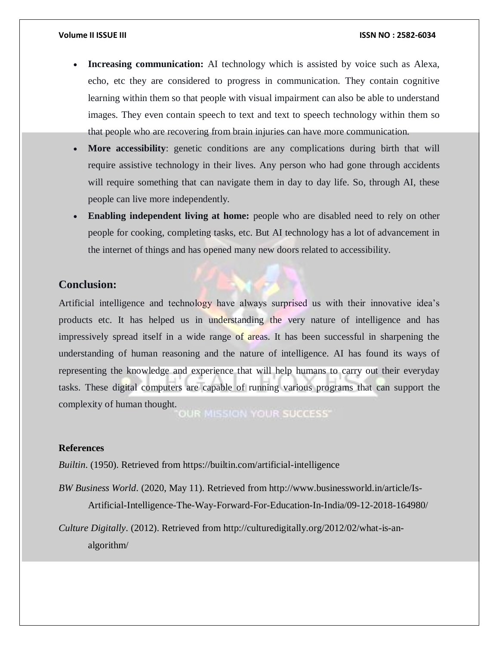- **Increasing communication:** AI technology which is assisted by voice such as Alexa, echo, etc they are considered to progress in communication. They contain cognitive learning within them so that people with visual impairment can also be able to understand images. They even contain speech to text and text to speech technology within them so that people who are recovering from brain injuries can have more communication.
- **More accessibility**: genetic conditions are any complications during birth that will require assistive technology in their lives. Any person who had gone through accidents will require something that can navigate them in day to day life. So, through AI, these people can live more independently.
- **Enabling independent living at home:** people who are disabled need to rely on other people for cooking, completing tasks, etc. But AI technology has a lot of advancement in the internet of things and has opened many new doors related to accessibility.

#### **Conclusion:**

Artificial intelligence and technology have always surprised us with their innovative idea's products etc. It has helped us in understanding the very nature of intelligence and has impressively spread itself in a wide range of areas. It has been successful in sharpening the understanding of human reasoning and the nature of intelligence. AI has found its ways of representing the knowledge and experience that will help humans to carry out their everyday tasks. These digital computers are capable of running various programs that can support the complexity of human thought.

OUR MISSION YOUR SUCCESS"

#### **References**

*Builtin*. (1950). Retrieved from https://builtin.com/artificial-intelligence

*BW Business World*. (2020, May 11). Retrieved from http://www.businessworld.in/article/Is-Artificial-Intelligence-The-Way-Forward-For-Education-In-India/09-12-2018-164980/

*Culture Digitally*. (2012). Retrieved from http://culturedigitally.org/2012/02/what-is-analgorithm/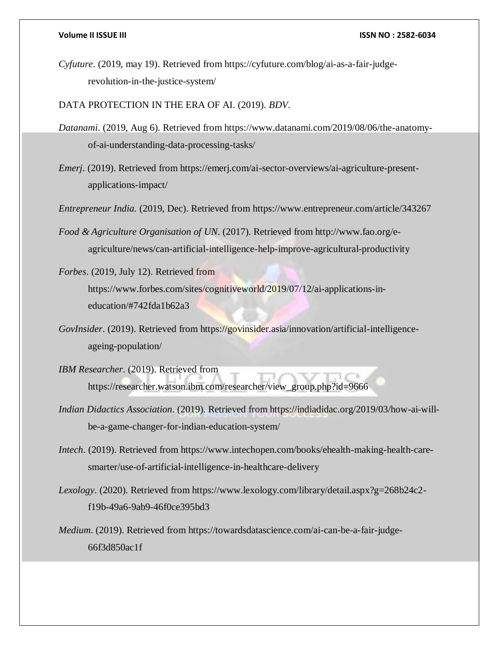*Cyfuture*. (2019, may 19). Retrieved from https://cyfuture.com/blog/ai-as-a-fair-judgerevolution-in-the-justice-system/

DATA PROTECTION IN THE ERA OF AI. (2019). *BDV*.

- *Datanami*. (2019, Aug 6). Retrieved from https://www.datanami.com/2019/08/06/the-anatomyof-ai-understanding-data-processing-tasks/
- *Emerj*. (2019). Retrieved from https://emerj.com/ai-sector-overviews/ai-agriculture-presentapplications-impact/
- *Entrepreneur India.* (2019, Dec). Retrieved from https://www.entrepreneur.com/article/343267
- *Food & Agriculture Organisation of UN*. (2017). Retrieved from http://www.fao.org/eagriculture/news/can-artificial-intelligence-help-improve-agricultural-productivity
- *Forbes*. (2019, July 12). Retrieved from https://www.forbes.com/sites/cognitiveworld/2019/07/12/ai-applications-ineducation/#742fda1b62a3
- *GovInsider*. (2019). Retrieved from https://govinsider.asia/innovation/artificial-intelligenceageing-population/
- *IBM Researcher*. (2019). Retrieved from https://researcher.watson.ibm.com/researcher/view\_group.php?id=9666
- *Indian Didactics Association*. (2019). Retrieved from https://indiadidac.org/2019/03/how-ai-willbe-a-game-changer-for-indian-education-system/
- *Intech*. (2019). Retrieved from https://www.intechopen.com/books/ehealth-making-health-caresmarter/use-of-artificial-intelligence-in-healthcare-delivery
- *Lexology*. (2020). Retrieved from https://www.lexology.com/library/detail.aspx?g=268b24c2 f19b-49a6-9ab9-46f0ce395bd3
- *Medium*. (2019). Retrieved from https://towardsdatascience.com/ai-can-be-a-fair-judge-66f3d850ac1f